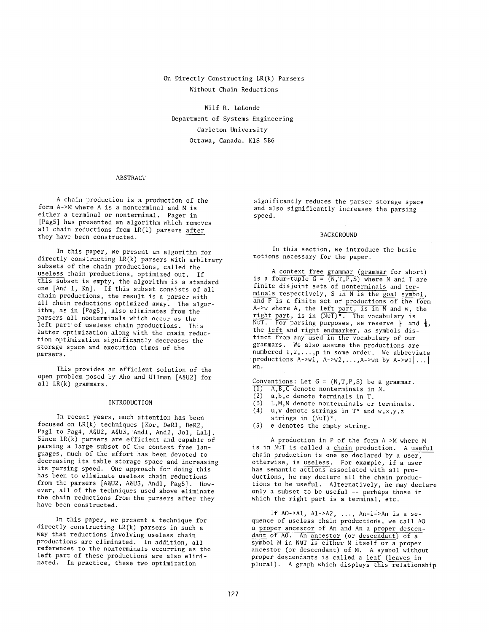# On Directly Constructing LR(k) Parsers Without Chain Reductions

Wilf R. LaLonde Department of Systems Engineering Carleton University Ottawa, Canada. KiS 5B6

### ABSTRACT

A chain production is a production of the form A->M where A is a nonterminal and M is either a terminal or nonterminal. Pager in [PagS] has presented an algorithm which removes all chain reductions from LR(1) parsers after they have been constructed.

In this paper, we present an algorithm for directly constructing LR(k) parsers with arbitrary subsets of the chain productions, called the useless chain productions, optimized out. If this subset is empty, the algorithm is a standard one [And i, Kn]. If this subset consists of all chain productions, the result is a parser with all chain reductions optimized away. The algorithm, as in [PagS], also eliminates from the parsers all nonterminals which occur as the left part of useless chain productions. This latter optimization along with the chain reduction optimization significantly decreases the storage space and execution times of the parsers.

This provides an efficient solution of the open problem posed by Aho and Ullman [A&U2] for all LR(k) grammars.

#### INTRODUCTION

In recent years, much attention has been focused on LR(k) techniques [Kor, DeRi, DeR2, Pagl to Pag4, A&U2, A&U3, Andl, And2, Jol, LaL]. Since LR(k) parsers are efficient and capable of parsing a large subset of the context free languages, much of the effort has been devoted to decreasing its table storage space and increasing its parsing speed. One approach for doing this has been to eliminate useless chain reductions from the parsers [A&U2, A&U3, And1, Pag5]. However, all of the techniques used above eliminate the chain reductions from the parsers after they have been constructed.

In this paper, we present a technique for directly constructing LR(k) parsers in such a way that reductions involving useless chain productions are eliminated. In addition, all references to the nonterminals occurring as the left part of these productions are also eliminated. In practice, these two optimization

significantly reduces the parser storage space and also significantly increases the parsing speed.

#### BACKGROUND

In this section, we introduce the basic notions necessary for the paper.

A context free grammar (grammar for short) is a four-tuple G =  $(N,T,P,S)$  where N and T are finite disjoint sets of nonterminals and terminals respectively, S in N is the goal symbol, and P is a finite set of productions of the form A->w where A, the left part, is in N and w, the right part, is in (NUT)\*. The vocabulary is NUT. For parsing purposes, we reserve  $\dagger$  and  $\dagger$ , the left and right endmarker, as symbols distinct from any used in the vocabulary of our grammars. We also assume the productions are numbered 1,2,...,p in some order. We abbreviate productions  $A\rightarrow w1$ ,  $A\rightarrow w2$ , ...,  $A\rightarrow wn$  by  $A\rightarrow w1$ ... wn.

Conventions: Let  $G = (N, T, P, S)$  be a grammar.

- (I) A,B,C denote nonterminals in N.
- (2) a,b,c denote terminals in T.
- (3) L,M,N denote nonterminals or terminals. (4)  $u, v$  denote strings in  $T^*$  and  $w, x, y, z$
- strings in  $(N\cup T)^*$ .
- (5) e denotes the empty string.

A production in P of the form A->M where M is in NuT is called a chain production. A useful chain production is one so declared by a user, otherwise, is useless. For example, if a user has semantic actions associated with all productions, he may declare all the chain productions to be useful. Alternatively, he may declare only a subset to be useful -- perhaps those in which the right part is a terminal, etc.

If  $AO->A1$ ,  $Al-2A2$ , ...,  $An-1-2An$  is a sequence of useless chain productions, we call AO a proper ancestor of An and An a proper descendant of AO. An ancestor (or descendant) of a symbol M in NUT is either M itself or a proper ancestor (or descendant) of M. A symbol without proper descendants is called a leaf (leaves in plural). A graph which displays this relationship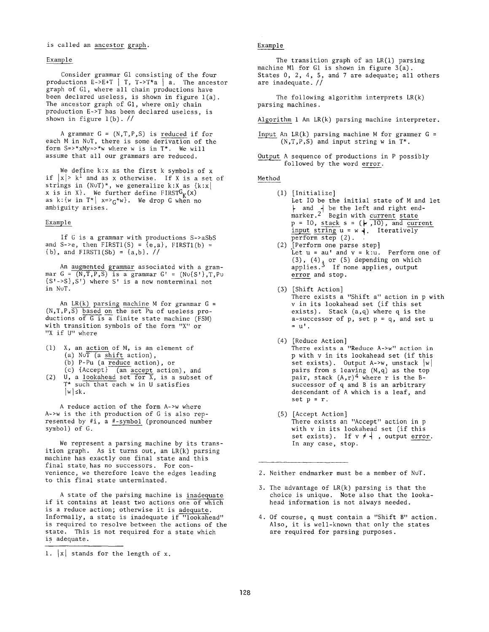## is called an ancestor graph.

### Example

Consider grammar G1 consisting of the four productions  $E->E+T$  | T,  $T->T^*a$  | a. The ancestor graph of Gi, where all chain productions have been declared useless, is shown in figure l(a). The ancestor graph of Gi, where only chain production E->T has been declared useless, is shown in figure l(b). //

A grammar  $G = (N, T, P, S)$  is reduced if for each M in NuT, there is some derivation of the form  $S \Rightarrow xMy \Rightarrow w$  where w is in  $T^*$ . We will assume that all our grammars are reduced.

We define k:x as the first k symbols of x if  $|x| > k^1$  and as x otherwise. If X is a set of strings in  $(N\cup T)^*$ , we generalize k:X as  $\{k:x\}$ x is in X}. We further define FIRST $G_K(x)$ as  $k: \{w \text{ in } T^* \mid x = >_G^* w\}.$  We drop G when no ambiguity arises.

## Example

If G is a grammar with productions S->aSbS and S->e, then  $FIRST1(S) = {e,a}$ ,  $FIRST1(b) =$  ${b}$ , and FIRST1(Sb) =  ${a,b}$ . //

An augmented grammar associated with a grammar  $G = (N, T, P, S)$  is a grammar  $G' = (N \cup \{S'\}, T, P \cup$  $\{S'-S\}, S'$ ) where S' is a new nonterminal not in NuT.

An  $LR(k)$  parsing machine M for grammar  $G =$ (N,T,P,S) based on the set Pu of useless productions of  $G$  is a finite state machine (FSM) with transition symbols of the form "X" or "X if U" where

- (I) X, an action of M, is an element of (a)  $N \cup \overline{T}$  (a shift action), (b) P-Pu (a reduce action), or
- (c) {Accept} (an accept action), and (2) U, a lookahead set for X, is a subset of T\* such that each w in U satisfies  $|w| \leq k$ .

A reduce action of the form A->w where A->w is the ith production of G is also represented by #i, a #-symbol (pronounced number symbol) of G.

We represent a parsing machine by its transition graph. As it turns out, an LR(k) parsing machine has exactly one final state and this final state has no successors. For convenience, we therefore leave the edges leading to this final state unterminated.

A state of the parsing machine is inadequate if it contains at least two actions one of which is a reduce action; otherwise it is adequate. Informally, a state is inadequate if "lookahead" is required to resolve between the actions of the state. This is not required for a state which is adequate.

## Example

The transition graph of an LR(1) parsing machine M1 for G1 is shown in figure 3(a). States 0, 2, 4, 5, and 7 are adequate; all others are inadequate. //

The following algorithm interprets LR(k) parsing machines.

Algorithm 1 An LR(k) parsing machine interpreter.

- Input An LR(k) parsing machine M for grammer  $G =$  $(N,T,P,S)$  and input string w in  $T^*$ .
- Output A sequence of productions in P possibly followed by the word error.

#### Method

- (i) [Initialize] Let IO be the initial state of M and let and  $\,$  be the left and right endmarker.4 Begin with current state  $p = 10$ , stack s = ( $\vdash$  ,IO), and current input string  $u = w +$ . Iteratively perform step (2).
- (2) [Perform one parse step] Let  $u = au'$  and  $v = k:u$ . Perform one of (3), (4), or (5) depending on which applies.' If none applies, output error and stop.
- **(3)** [Shift Action] There exists a "Shift a" action in p with v in its lookahead set (if this set exists). Stack (a,q) where q is the a-successor of  $p$ , set  $p = q$ , and set u  $=$   $u^{\dagger}$ .
- (4) [Reduce Action] There exists a "Reduce A->w" action in p with v in its lookahead set (if this set exists). Output  $A\rightarrow w$ , unstack  $|w|$ pairs from s leaving (M,q) as the top pair, stack  $(A,r)^4$  where r is the Bsuccessor of q and B is an arbitrary descendant of A which is a leaf, and set  $p = r$ .
- (s) [Accept Action] There exists an "Accept" action in p with v in its lookahead set (if this set exists). If  $v \neq \dagger$ , output error. In any case, stop.

2. Neither endmarker must be a member of NuT.

- 3. The advantage of LR(k) parsing is that the choice is unique. Note also that the lookahead information is not always needed.
- 4. Of course, q must contain a "Shift B" action. Also, it is well-known that only the states are required for parsing purposes.

<sup>1.</sup>  $|x|$  stands for the length of x.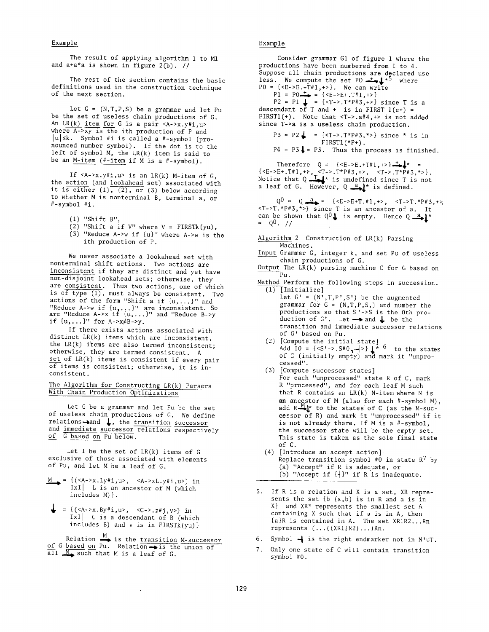## Example

The result of applying algorithm 1 to M1 and a+a\*a is shown in figure  $2(b)$ . //

The rest of the section contains the basic definitions used in the construction technique of the next section.

Let  $G = (N, T, P, S)$  be a grammar and let Pu be the set of useless chain productions of G. An LR(k) item for G is a pair  $\langle A->x,y\#i,u\rangle$ where A->xy is the ith production of P and  $|u| \le k$ . Symbol #i is called a #-symbol (pronounced number symbol). If the dot is to the left of symbol M, the LR(k) item is said to be an M-item (#-item if M is a #-symbol).

If  $\langle A->x,y\#i,u\rangle$  is an  $LR(k)$  M-item of G, the action (and lookahead set) associated with it is either  $(1)$ ,  $(2)$ , or  $(3)$  below according to whether M is nonterminal B, terminal a, or #-symbol #i.

- (i) "Shift B",
- (2) "Shift a if  $V''$  where  $V = FIRSTk(yu)$ ,
- (3) "Reduce A->w if {u)" where A->w is the ith production of P.

We never associate a lookahead set with nonterminal shift actions. Two actions are inconsistent if they are distinct and yet have non-disjoint lookahead sets; otherwise, they are consistent. Thus two actions, one of which is of type  $(1)$ , must always be consistent. Two actions of the form "Shift a if {u,...}" and "Reduce A->w if {u,...}" are inconsistent. So<br>are "Reduce A->x if {u,...}" and "Reduce B->y if  $\{u, ...\}$ " for  $A \rightarrow x \neq B \rightarrow y$ .

If there exists actions associated with distinct LR(k) items which are inconsistent, the  $LR(k)$  items are also termed inconsistent; otherwise, they are termed consistent. A set of LR(k) items is consistent if every pair of items is consistent; otherwise, it is inconsistent.

The Algorithm for Constructing LR(k) Parsers With Chain Production Optimizations

Let G be a grammar and let Pu be the set of useless chain productions of G. We define relations $\rightarrow$ and  $\downarrow$ , the transition successor and immediate successor relations respectively of G based on Pu below.

Let I be the set of  $LR(k)$  items of  $G$ exclusive of those associated with elements of Pu, and let M be a leaf of G.

- $M = \{ (\langle A \rangle x. Ly \# i, u \rangle, \langle A \rangle x. Ly \# i, u \rangle \}$  in  $IXI$  | L is an ancestor of M (which includes M)}.
- $\downarrow$  = {(<A->x.By#i,u>, <C->.z#j,v>) in  $IxI$  C is a descendant of B (which includes  $B$ ) and  $v$  is in  $FIRSTk(vu)$

Relation  $\frac{M}{\bullet}$  is the transition M-successor of G based on Pu. Relation is the union of  $a_{11}$   $\overline{M_{\bullet}}$  such that M is a leaf of G.

 $\cdot$ 

## Example

Consider grammar G1 of figure 1 where the productions have been numbered from 1 to 4. Suppose all chain productions are declared useless. We compute the set PO.=--,)~\*S where  $P0 = {\{\leq}E - \geq E \cdot \hat{T}^{\#}1, + \geq \}}$ . We can write  $P1 = PO \rightarrow \{ \langle E - \rangle E + T \# 1, + \rangle \}$  $PZ = PL$  = {<T->.T\*P#3,+>} since T is a descendant of T and + is in FIRST l(e+) = FIRST1(+). Note that <T->.a#4,+> is not added since T->a is a useless chain production.  $P3 = P2 \downarrow = \{ \langle T - \rangle, T^*P \# 3, \rangle \}$  since \* is in  $FIRST(***P+**)$ .  $P4 = P3$ . Thus the process is finished.

Therefore Q = {<E->E.+T#1,+>}-=~\* = {<E->E+.T#1,+>, <T->.T\*P#3,+>, <T->.T\*P#3,\*>}. Notice that  $Q \longrightarrow$  is undefined since T is not a leaf of G. However,  $Q \stackrel{a}{\longrightarrow} k^*$  is defined.

 $Q^0 = Q \stackrel{a}{\longrightarrow} = {\{\langle E->E+T, #1, +> , \quad \langle T->T, *P#3, +> \} \}$  $\langle T->T.*P#3,*\rangle$  since T is an ancestor of a. It can be shown that  $Q^0$  is empty. Hence  $Q \stackrel{a}{\longrightarrow} \downarrow^*$ 

- Algorithm 2 Construction of LR(k) Parsing Machines.
- Input Grammar G, integer k, and set Pu of useless chain productions of G.
- Output The LR(k) parsing machine C for G based on Pu.

Method Perform the following steps in succession.  $\overline{(1)}$  [Initialize]

- Let  $G' = (N', T, P', S')$  be the augmented grammar for  $G = (N, T, P, S)$  and number the productions so that S'->S is the 0th production of G'. Let  $\rightarrow$  and  $\downarrow$  be the transition and immediate successor relations of G' based on Pu.
- (2) [Compute the initial state] Add IO = {<S'->.S#0, $\rightarrow$ }  $\downarrow^*$   $\circ$  to the states of C (initially empty) and mark it "unprocessed".
- (3) [Compute successor states] For each "unprocessed" state R of C, mark R "processed", and for each leaf M such that R contains an LR(k) N-itemwhere N is **an** ancestor of M (also for each #-symbol M), add R—— " to the states of C (as the M-successor of R) and mark it "unprocessed" if it is not already there. If M is a #-symbol, the successor state will be the empty set. This state is taken as the sole final state of C.
- (4) [Introduce an accept action] Replace transition symbol #0 in state  $R^7$  by (a) "Accept" if R is adequate, or (b) "Accept if {4}" if R is inadequate.
- 5. If R is a relation and X is a set, XR represents the set  $\{b \mid (a,b)$  is in R and a is in X} and XR\* represents the smallest set A containing X such that if a is in A, then {a}R is contained in A. The set XRiR2...Rn represents (...((XRI)R2)...)Rn.
- 6. Symbol  $-$  is the right endmarker not in N'uT.
- 7. Only one state of C will contain transition symbol #0.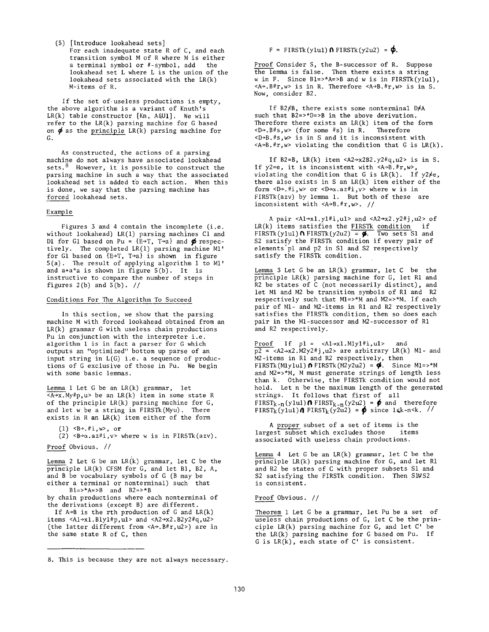(s) [Introduce lookahead sets]

For each inadequate state R of C, and each transition symbol M of R where M is either a terminal symbol or #-symbol, add the lookahead set L where L is the union of the lookahead sets associated with the LR(k) M-items of R.

If the set of useless productions is empty, the above algorithm is a variant of Knuth's  $LR(k)$  table constructor  $[Kn, A6U1]$ . We will refer to the LR(k) parsing machine for G based on  $\phi$  as the principle LR(k) parsing machine for G.

As constructed, the actions of a parsing machine do not always have associated lookahead sets.  $8$  However, it is possible to construct the parsing machine in such a way that the associated lookahead set is added to each action. When this is done, we say that the parsing machine has forced lookahead sets.

### Example

Figures 3 and 4 contain the incomplete (i.e. without lookahead) LR(1) parsing machines Cl and D1 for G1 based on Pu =  $\{E \rightarrow T, T \rightarrow a\}$  and  $\phi$  respectively. The completed LR(1) parsing machine Mi' for G1 based on  $(E+T, T+a)$  is shown in figure 5(a). The result of applying algorithm 1 to Mi' and a+a\*a is shown in figure 5(b). It is instructive to compare the number of steps in figures  $2(b)$  and  $5(b)$ . //

### Conditions For The Algorithm To Succeed

In this section, we show that the parsing machine M with forced lookahead obtained from an LR(k) grammar G with useless chain productions Pu in conjunction with the interpreter i.e. algorithm 1 is in fact a parser for G which outputs an "optimized" bottom up parse of an input string in L(G) i.e. a sequence of productions of G exclusive of those in Pu. We begin with some basic lemmas.

Lemma 1 Let G be an LR(k) grammar, let  $\overline{A+x}$ . My#p, u> be an LR(k) item in some state R of the principle LR(k) parsing machine for G, and let w be a string in FIRSTk(Myu). There exists in R an LR(k) item either of the form

 $(1)$   $\leq$ B $\rightarrow$ .#i,w $>$ , or

(2)  $\langle B \rightarrow \alpha. a z \# i, v \rangle$  where w is in FIRSTk(azv).

Proof Obvious. //

Lemma 2 Let G be an LR(k) grammar, let C be the principle LR(k) CFSM for G, and let Bi, B2, A, and B be vocabulary symbols of G (B may be either a terminal or nonterminal) such that  $B1 = >*A = >B$  and  $B2 = >*B$ 

by chain productions where each nonterminal of the derivations (except B) are different.

If  $A \rightarrow B$  is the rth production of G and  $LR(k)$ items  $\langle A1 \rightarrow x1.B1y1 \text{#p}, u1 \rangle$  and  $\langle A2 \rightarrow x2.B2y2 \text{#q}, u2 \rangle$ (the latter different from <A÷.B#r,u2>) are in the same state R of C, then

 $F =$  FIRSTk(y1u1)  $\Lambda$  FIRSTk(y2u2) =  $\phi$ .

Proof Consider S, the B-successor of R. Suppose the lemma is false. Then there exists a string w in F. Since  $Bl = >*A = >B$  and w is in FIRSTk(ylul),  $\langle A \rangle$ . B#r, w> is in R. Therefore  $\langle A \rangle$ -B. #r, w> is in S. Now, consider B2.

If B2#B, there exists some nonterminal D#A such that B2=>\*D=>B in the above derivation. Therefore there exists an  $LR(k)$  item of the form  $\langle D \rangle$ ,  $B \# s$ ,  $w$ > (for some  $\# s$ ) in R. Therefore  $(for some #s) in R.$  $-D+B$ .#s,w> is in S and it is inconsistent with  $\langle A \rightarrow B . \#r, w \rangle$  violating the condition that G is LR(k).

If B2=B,  $LR(k)$  item <A2 $\rightarrow$ x2B2.y2#q,u2> is in S. If y2=e, it is inconsistent with  $\langle A \rightarrow B . \#r, w \rangle$ , violating the condition that G is  $LR(k)$ . If  $y2 \neq e$ , there also exists in S an LR(k) item either of the form  $\langle D+F_i, H^i, w \rangle$  or  $\langle D+ \alpha . a z^{\#} i, v \rangle$  where w is in FIRSTk(azv) by lemma i. But both of these are inconsistent with <A÷B.#r,w>. //

A pair  $\langle A1+\times1, y1+\times1, u1 \rangle$  and  $\langle A2+\times2, y2+\times1, u2 \rangle$  of  $LR(k)$  items satisfies the FIRSTK condition if FIRSTk(y1u1)  $\Lambda$  FIRSTk(y2u2) =  $\frac{1}{2}$ . Two sets S1 and S2 satisfy the FIRSTk condition if every pair of elements pl and p2 in S1 and S2 respectively satisfy the FIRSTk condition.

Lemma 3 Let G be an LR(k) grammar, let C be the principle LR(k) parsing machine for G, let R1 and R2 be states of C (not necessarily distinct), and let M1 and M2 be transition symbols of R1 and R2 respectively such that Mi=>\*M and M2=>\*M. If each pair of Mi- and M2-items in R1 and R2 respectively satisfies the FIRSTk condition, then so does each pair in the Ml-successor and M2-successor of R1 and R2 respectively.

Proof If  $p1 = \langle A1 + x1.M1y1 \text{#i}, u1 \rangle$  and  $p2 = , u2> are arbitrary LR(k) M1- and$ M2-items in R1 and R2 respectively, then  $FIRST(Mly1ul) \cap FIRSTk(M2y2u2) = \Phi.$  Since M1=>\*M and M2=>\*M, M must generate strings of length less than k. Otherwise, the FIRSTk condition would not hold. Let n be the maximum length of the generated strings. It follows that first of all FIRST<sub>k-n</sub>(ylul) **n** FIRST<sub>k-n</sub>(y2u2) =  $\phi$  and therefore FIRST<sub>k</sub>(ylul) $\theta$  FIRST<sub>k</sub>(y2u2) =  $\phi$  since l k -n -k. //

A proper subset of a set of items is the largest subset which excludes those items associated with useless chain productions.

Lemma 4 Let G be an LR(k) grammar, let C be the principle LR(k) parsing machine for G, and let R1 and R2 be states of C with proper subsets S1 and S2 satisfying the FIRSTk condition. Then S1VS2 is consistent.

Proof Obvious. //

Theorem 1 Let G be a grammar, let Pu be a set of useless chain productions of G, let C be the principle LR(k) parsing machine for G, and let C' be the LR(k) parsing machine for G based on Pu. If G is LR(k), each state of C' is consistent.

<sup>8.</sup> This is because they are not always necessary.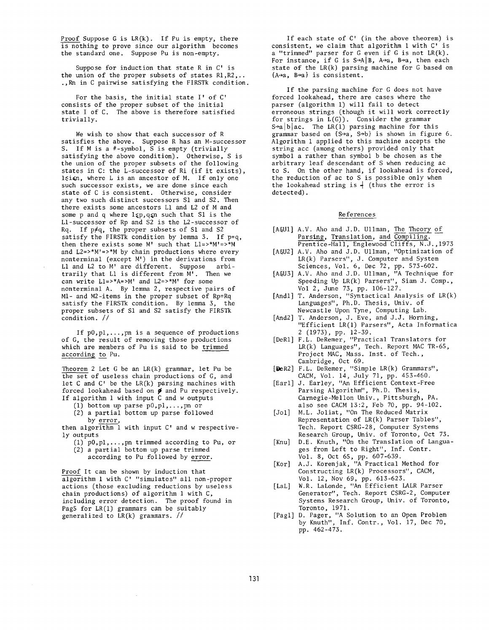Proof Suppose G is LR(k), If Pu is empty, there is nothing to prove since our algorithm becomes the standard one. Suppose Pu is non-empty,

Suppose for induction that state R in C' is the union of the proper subsets of states Ri,R2,.. .,Rn in C pairwise satisfying the FIRSTk condition.

For the basis, the initial state I' of C' consists of the proper subset of the initial state I of C. The above is therefore satisfied trivially.

We wish to show that each successor of R satisfies the above. Suppose R has an M-successor S. If M is a #-symbol, S is empty (trivially satisfying the above condition). Otherwise, S is the union of the proper subsets of the following states in C: the L-successor of Ri (if it exists),  $l$ si $\epsilon$ n, where L is an ancestor of M. If only one such successor exists, we are done since each state of C is consistent. Otherwise, consider any two such distinct successors S1 and \$2. Then there exists some ancestors L1 and L2 of M and some p and q where  $l$  sp, q such that S1 is the Ll-successor of Rp and \$2 is the L2-successor of Rq. If  $p \neq q$ , the proper subsets of S1 and S2 satisfy the FIRSTk condition by lemma 3. If p=q, then there exists some M' such that Li=>\*M'=>\*M and L2=>\*M'=>\*M by chain productions where every nonterminal (except M') in the derivations from L1 and L2 to M' are different. Suppose arbitrarily that L1 is different from M'. Then we can write Li=>\*A=>M' and L2=>\*M' for some nonterminal A. By lemma 2, respective pairs of Mi- and M2-items in the proper subset of Rp=Rq satisfy the FIRSTk condition. By lemma 3, the proper subsets of S1 and \$2 satisfy the FIRSTk condition. //

If p0,pl,...,pn is a sequence of productions of G, the result of removing those productions which are members of Pu is said to be trimmed according to Pu.

Theorem 2 Let G be an LR(k) grammar, let Pu be the set of useless chain productions of G, and let C and C' be the LR(k) parsing machines with forced lookahead based on  $\phi$  and Pu respectively. If algorithm 1 with input C and w outputs

- (1) bottom up parse  $p0, p1, \ldots, p$  or
- (2) a partial bottom up parse followed

by error, then algorithm 1 with input C' and w respectively outputs

- $(1)$  p0, p1, ..., pn trimmed according to Pu, or (2) a partial bottom up parse trimmed
	- according to Pu followed by error.

Proof It can be shown by induction that algorithm 1 with C' "simulates" all non-proper actions (those excluding reductions by useless chain productions) of algorithm 1 with C, including error detection. The proof found in Pag5 for LR(1) grammars can be suitably generalized to LR(k) grammars. //

If each state of C' (in the above theorem) is consistent, we claim that algorithm 1 with C' is a "trimmed" parser for G even if G is not LR(k). For instance, if G is  $S \rightarrow A/B$ ,  $A \rightarrow a$ ,  $B \rightarrow a$ , then each state of the LR(k) parsing machine for G based on  ${A+a, B+a}$  is consistent.

If the parsing machine for G does not have forced lookahead, there are cases where the parser (algorithm i) will fail to detect erroneous strings (though it will work correctly for strings in L(G)). Consider the grammar  $S \rightarrow a \mid b \mid ac$ . The LR(1) parsing machine for this grammar based on  $\{S \rightarrow a, S \rightarrow b\}$  is shown in figure 6. Algorithm 1 applied to this machine accepts the string acc (among others) provided only that symbol a rather than symbol b be chosen as the arbitrary leaf descendant of S when reducing ac to S. On the other hand, if lookahead is forced, the reduction of ac to S is possible only when the lookahead string is  $+$  (thus the error is  $\,$ detected).

## References

- [A6U1] A.V. Aho and J.D. Ullman, The Theory of Parsing, Translation, and Compiling. Prentice-Hall, Englewood Cliffs, N.J., 1973
- [A&U2] A.V. Aho and J.D. Ullman, "Optimization of LR(k) Parsers", J. Computer and System Sciences, Vol. 6, Dec 72, pp. 573-602.
- [A&U3] A.V. Aho and J.D. Ullman, "A Technique for Speeding Up LR(k) Parsers", Siam J. Comp., Vol 2, June 73, pp. 106-127.
- [Andl] T. Anderson, "Syntactical Analysis of LR(k) Languages", Ph.D. Thesis, Univ. of Newcastle Upon Tyne, Computing Lab.
- [And2] T. Anderson, J. Eve, and J.J. Horning, "Efficient LR(1) Parsers", Acta Informatica 2 (1973), pp. 12-39.
- [DeR1] F.L. DeRemer, "Practical Translators for LR(k) Languages", Tech. Report MAC TR-65, Project MAC, Mass. Inst. of Tech., Cambridge, Oct 69.
- [DeR2] F.L. DeRemer, "Simple LR(k) Grammars", CACM, Vol. 14, July 71, pp. 453-460.
- [Earl] J. Earley, "An Efficient Context-Free Parsing Algorithm", Ph.D. Thesis, Carnegie-Mellon Univ., Pittsburgh, PA. also see CACM 13:2, Feb 70, pp. 94-102.
- [Jol] M.L. Joliat, "On The Reduced Matrix Representation of LR(k) Parser Tables", Tech. Report CSRG-28, Computer Systems Research Group, Univ. of Toronto, Oct 73.
- [Knu] D.E. Knuth, "On the Translation of Languages from Left to Right", Inf. Contr. Vol. 8, Oct 65, pp. 607-639.
- [Kor] A.J. Korenjak, "A Practical Method for Constructing LR(k) Processors", CACM, Vol. 12, Nov 69, pp. 613-623.
- [LaL] W.R. LaLonde, "An Efficient LALR Parser Generator", Tech. Report CSRG-2, Computer Systems Research Group, Univ. of Toronto, Toronto, 1971.
- [Pagl] D. Pager, "A Solution to an Open Problem by Knuth", Inf. Contr., Vol. 17, Dec 70, pp. 462-473.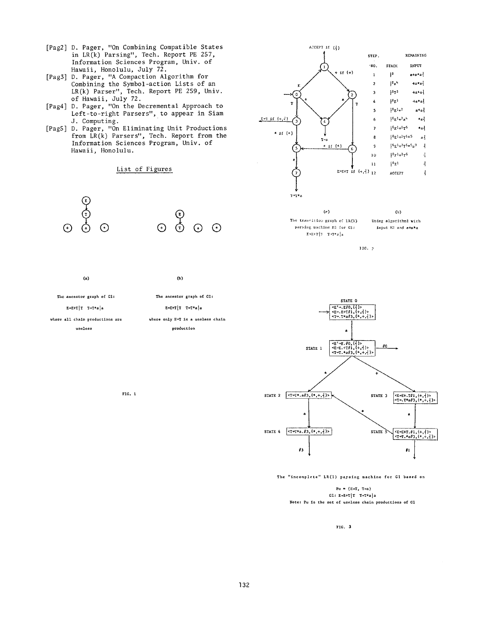- [Pag2 ] D. Pager, "On Combining Compatible States in LR(k) Parsing", Tech. Report PE 257, Information Sciences Program, Univ. of Hawaii, Honolulu, July 72.
- [Pag3] D. Pager, "A Compaction Algorithm for Combining the Symbol-action Lists of an LR(k) Parser", Tech. Report PE 259, Univ. of Hawaii, July 72.
- [Pag4] D. Pager, "On the Decremental Approach to Left-to-right Parsers", to appear in Siam J. Computing.
- [Pag5] D. Pager, "On Eliminating Unit Productions from LR(k) Parsers", Tech. Report from the Information Sciences Program, Univ. of Hawaii, Honolulu.

## List of Figures



(a) (b) The ancestor graph of Gl: The ancestor graph of Gl:  $E+E+T$ | T  $T+T*a$ | a  $E+E+T$ | T  $T+T*a$ | a

where all chain productions are where only E+T is a useless chain useless production

FIG. I



The transition graph of  $LR(1)$ parsing machine M1 for  $G$ 1:  $\text{E}\text{+E}\text{+T}\left[3-\text{T}\text{+T}\text{+a}\right]$ a

}IC. p

Using algorithml with input KI and a+a\*a



The "incomplete" LR(1) parsing machine for Gl based on

Pu  $= \{E+T, T+a\}$ GI: E+E+T $T$ T+T\*a $a$ Note: Pu is the set of useless chain productions of GI

FIG. 3